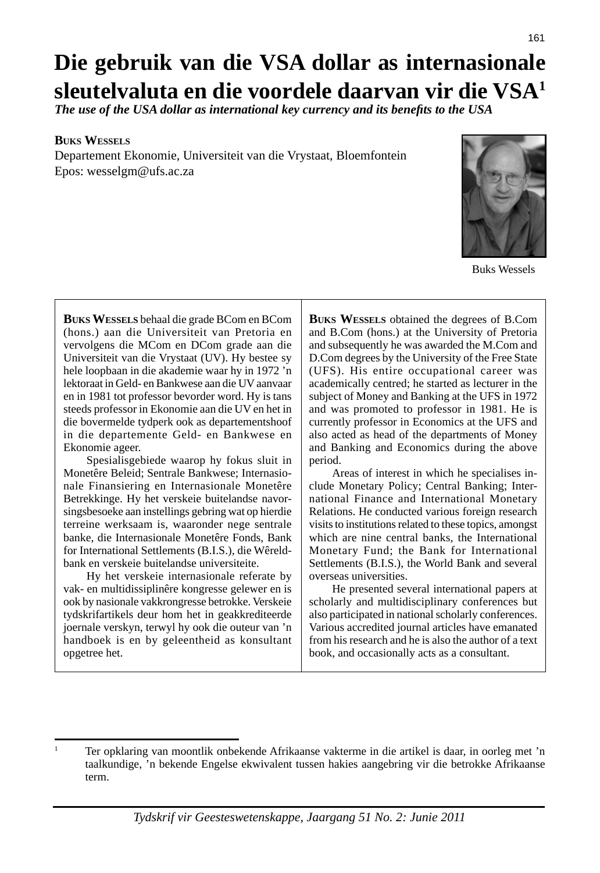# **Die gebruik van die VSA dollar as internasionale sleutelvaluta en die voordele daarvan vir die VSA1**

*The use of the USA dollar as international key currency and its benefits to the USA* 

#### **BUKS WESSELS**

Departement Ekonomie, Universiteit van die Vrystaat, Bloemfontein Epos: wesselgm@ufs.ac.za



Buks Wessels

**BUKS WESSELS** behaal die grade BCom en BCom (hons.) aan die Universiteit van Pretoria en vervolgens die MCom en DCom grade aan die Universiteit van die Vrystaat (UV). Hy bestee sy hele loopbaan in die akademie waar hy in 1972 'n lektoraat in Geld- en Bankwese aan die UV aanvaar en in 1981 tot professor bevorder word. Hy is tans steeds professor in Ekonomie aan die UV en het in die bovermelde tydperk ook as departementshoof in die departemente Geld- en Bankwese en Ekonomie ageer.

 Spesialisgebiede waarop hy fokus sluit in Monetêre Beleid; Sentrale Bankwese; Internasionale Finansiering en Internasionale Monetêre Betrekkinge. Hy het verskeie buitelandse navorsingsbesoeke aan instellings gebring wat op hierdie terreine werksaam is, waaronder nege sentrale banke, die Internasionale Monetêre Fonds, Bank for International Settlements (B.I.S.), die Wêreldbank en verskeie buitelandse universiteite.

 Hy het verskeie internasionale referate by vak- en multidissiplinêre kongresse gelewer en is ook by nasionale vakkrongresse betrokke. Verskeie tydskrifartikels deur hom het in geakkrediteerde joernale verskyn, terwyl hy ook die outeur van 'n handboek is en by geleentheid as konsultant opgetree het.

**BUKS WESSELS** obtained the degrees of B.Com and B.Com (hons.) at the University of Pretoria and subsequently he was awarded the M.Com and D.Com degrees by the University of the Free State (UFS). His entire occupational career was academically centred; he started as lecturer in the subject of Money and Banking at the UFS in 1972 and was promoted to professor in 1981. He is currently professor in Economics at the UFS and also acted as head of the departments of Money and Banking and Economics during the above period.

 Areas of interest in which he specialises include Monetary Policy; Central Banking; International Finance and International Monetary Relations. He conducted various foreign research visits to institutions related to these topics, amongst which are nine central banks, the International Monetary Fund; the Bank for International Settlements (B.I.S.), the World Bank and several overseas universities.

 He presented several international papers at scholarly and multidisciplinary conferences but also participated in national scholarly conferences. Various accredited journal articles have emanated from his research and he is also the author of a text book, and occasionally acts as a consultant.

<sup>1</sup> Ter opklaring van moontlik onbekende Afrikaanse vakterme in die artikel is daar, in oorleg met 'n taalkundige, 'n bekende Engelse ekwivalent tussen hakies aangebring vir die betrokke Afrikaanse term.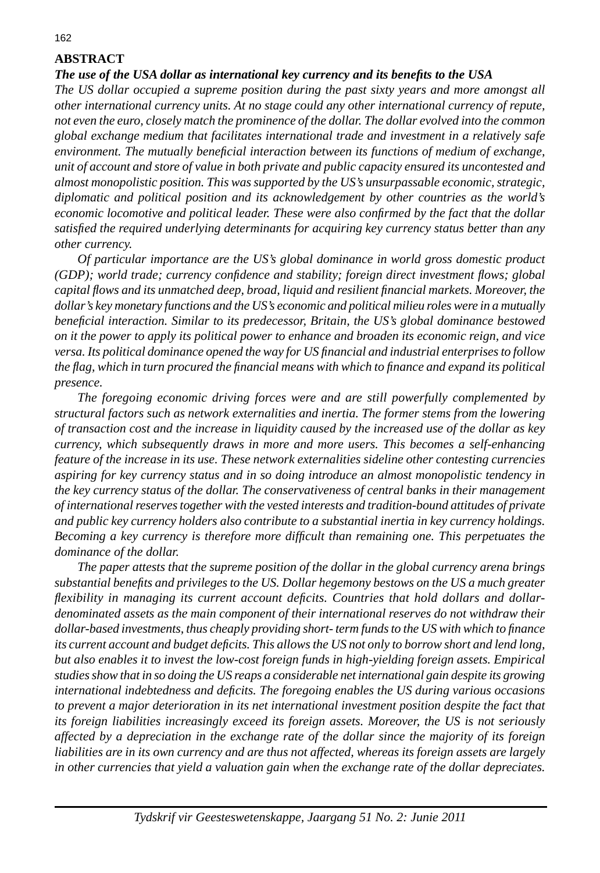## **ABSTRACT**

#### *The use of the USA dollar as international key currency and its benefi ts to the USA*

*The US dollar occupied a supreme position during the past sixty years and more amongst all other international currency units. At no stage could any other international currency of repute, not even the euro, closely match the prominence of the dollar. The dollar evolved into the common global exchange medium that facilitates international trade and investment in a relatively safe environment. The mutually beneficial interaction between its functions of medium of exchange, unit of account and store of value in both private and public capacity ensured its uncontested and almost monopolistic position. This was supported by the US's unsurpassable economic, strategic, diplomatic and political position and its acknowledgement by other countries as the world's economic locomotive and political leader. These were also confi rmed by the fact that the dollar satisfi ed the required underlying determinants for acquiring key currency status better than any other currency.* 

 *Of particular importance are the US's global dominance in world gross domestic product (GDP); world trade; currency confi dence and stability; foreign direct investment fl ows; global capital fl ows and its unmatched deep, broad, liquid and resilient fi nancial markets. Moreover, the dollar's key monetary functions and the US's economic and political milieu roles were in a mutually benefi cial interaction. Similar to its predecessor, Britain, the US's global dominance bestowed on it the power to apply its political power to enhance and broaden its economic reign, and vice versa. Its political dominance opened the way for US fi nancial and industrial enterprises to follow the fl ag, which in turn procured the fi nancial means with which to fi nance and expand its political presence.* 

 *The foregoing economic driving forces were and are still powerfully complemented by structural factors such as network externalities and inertia. The former stems from the lowering of transaction cost and the increase in liquidity caused by the increased use of the dollar as key currency, which subsequently draws in more and more users. This becomes a self-enhancing feature of the increase in its use. These network externalities sideline other contesting currencies aspiring for key currency status and in so doing introduce an almost monopolistic tendency in the key currency status of the dollar. The conservativeness of central banks in their management of international reserves together with the vested interests and tradition-bound attitudes of private and public key currency holders also contribute to a substantial inertia in key currency holdings. Becoming a key currency is therefore more difficult than remaining one. This perpetuates the dominance of the dollar.*

 *The paper attests that the supreme position of the dollar in the global currency arena brings substantial benefi ts and privileges to the US. Dollar hegemony bestows on the US a much greater*  flexibility in managing its current account deficits. Countries that hold dollars and dollar*denominated assets as the main component of their international reserves do not withdraw their dollar-based investments, thus cheaply providing short- term funds to the US with which to fi nance its current account and budget defi cits. This allows the US not only to borrow short and lend long, but also enables it to invest the low-cost foreign funds in high-yielding foreign assets. Empirical studies show that in so doing the US reaps a considerable net international gain despite its growing international indebtedness and defi cits. The foregoing enables the US during various occasions to prevent a major deterioration in its net international investment position despite the fact that its foreign liabilities increasingly exceed its foreign assets. Moreover, the US is not seriously affected by a depreciation in the exchange rate of the dollar since the majority of its foreign liabilities are in its own currency and are thus not affected, whereas its foreign assets are largely in other currencies that yield a valuation gain when the exchange rate of the dollar depreciates.*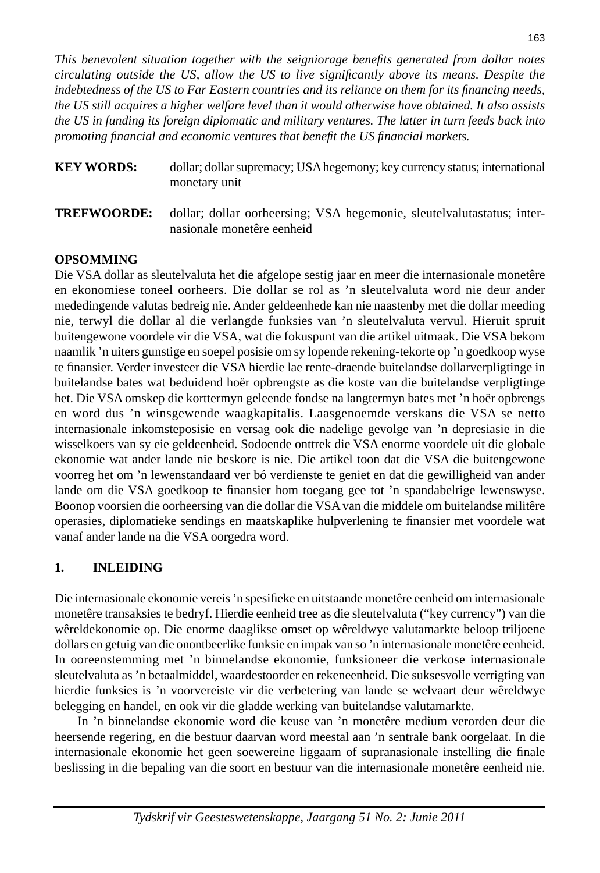*This benevolent situation together with the seigniorage benefi ts generated from dollar notes circulating outside the US, allow the US to live signifi cantly above its means. Despite the indebtedness of the US to Far Eastern countries and its reliance on them for its financing needs, the US still acquires a higher welfare level than it would otherwise have obtained. It also assists the US in funding its foreign diplomatic and military ventures. The latter in turn feeds back into promoting fi nancial and economic ventures that benefi t the US fi nancial markets.* 

- **KEY WORDS:** dollar; dollar supremacy; USA hegemony; key currency status; international monetary unit
- **TREFWOORDE:** dollar; dollar oorheersing; VSA hegemonie, sleutelvalutastatus; internasionale monetêre eenheid

## **OPSOMMING**

Die VSA dollar as sleutelvaluta het die afgelope sestig jaar en meer die internasionale monetêre en ekonomiese toneel oorheers. Die dollar se rol as 'n sleutelvaluta word nie deur ander mededingende valutas bedreig nie. Ander geldeenhede kan nie naastenby met die dollar meeding nie, terwyl die dollar al die verlangde funksies van 'n sleutelvaluta vervul. Hieruit spruit buitengewone voordele vir die VSA, wat die fokuspunt van die artikel uitmaak. Die VSA bekom naamlik 'n uiters gunstige en soepel posisie om sy lopende rekening-tekorte op 'n goedkoop wyse te finansier. Verder investeer die VSA hierdie lae rente-draende buitelandse dollarverpligtinge in buitelandse bates wat beduidend hoër opbrengste as die koste van die buitelandse verpligtinge het. Die VSA omskep die korttermyn geleende fondse na langtermyn bates met 'n hoër opbrengs en word dus 'n winsgewende waagkapitalis. Laasgenoemde verskans die VSA se netto internasionale inkomsteposisie en versag ook die nadelige gevolge van 'n depresiasie in die wisselkoers van sy eie geldeenheid. Sodoende onttrek die VSA enorme voordele uit die globale ekonomie wat ander lande nie beskore is nie. Die artikel toon dat die VSA die buitengewone voorreg het om 'n lewenstandaard ver bó verdienste te geniet en dat die gewilligheid van ander lande om die VSA goedkoop te finansier hom toegang gee tot 'n spandabelrige lewenswyse. Boonop voorsien die oorheersing van die dollar die VSA van die middele om buitelandse militêre operasies, diplomatieke sendings en maatskaplike hulpverlening te finansier met voordele wat vanaf ander lande na die VSA oorgedra word.

## **1. INLEIDING**

Die internasionale ekonomie vereis 'n spesifieke en uitstaande monetêre eenheid om internasionale monetêre transaksies te bedryf. Hierdie eenheid tree as die sleutelvaluta ("key currency") van die wêreldekonomie op. Die enorme daaglikse omset op wêreldwye valutamarkte beloop triljoene dollars en getuig van die onontbeerlike funksie en impak van so 'n internasionale monetêre eenheid. In ooreenstemming met 'n binnelandse ekonomie, funksioneer die verkose internasionale sleutelvaluta as 'n betaalmiddel, waardestoorder en rekeneenheid. Die suksesvolle verrigting van hierdie funksies is 'n voorvereiste vir die verbetering van lande se welvaart deur wêreldwye belegging en handel, en ook vir die gladde werking van buitelandse valutamarkte.

 In 'n binnelandse ekonomie word die keuse van 'n monetêre medium verorden deur die heersende regering, en die bestuur daarvan word meestal aan 'n sentrale bank oorgelaat. In die internasionale ekonomie het geen soewereine liggaam of supranasionale instelling die finale beslissing in die bepaling van die soort en bestuur van die internasionale monetêre eenheid nie.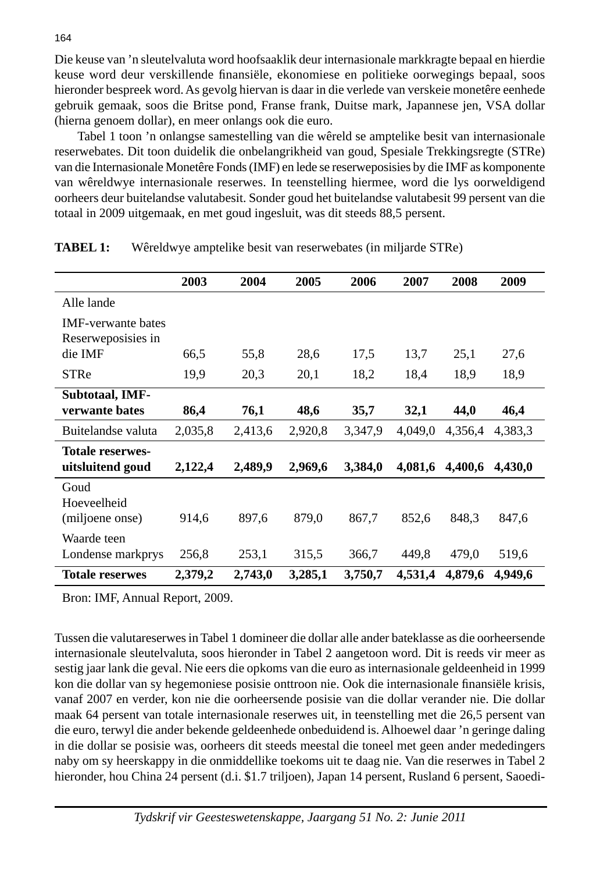Die keuse van 'n sleutelvaluta word hoofsaaklik deur internasionale markkragte bepaal en hierdie keuse word deur verskillende finansiële, ekonomiese en politieke oorwegings bepaal, soos hieronder bespreek word. As gevolg hiervan is daar in die verlede van verskeie monetêre eenhede gebruik gemaak, soos die Britse pond, Franse frank, Duitse mark, Japannese jen, VSA dollar (hierna genoem dollar), en meer onlangs ook die euro.

 Tabel 1 toon 'n onlangse samestelling van die wêreld se amptelike besit van internasionale reserwebates. Dit toon duidelik die onbelangrikheid van goud, Spesiale Trekkingsregte (STRe) van die Internasionale Monetêre Fonds (IMF) en lede se reserweposisies by die IMF as komponente van wêreldwye internasionale reserwes. In teenstelling hiermee, word die lys oorweldigend oorheers deur buitelandse valutabesit. Sonder goud het buitelandse valutabesit 99 persent van die totaal in 2009 uitgemaak, en met goud ingesluit, was dit steeds 88,5 persent.

|                                                 | 2003    | 2004    | 2005    | 2006    | 2007    | 2008    | 2009    |
|-------------------------------------------------|---------|---------|---------|---------|---------|---------|---------|
| Alle lande                                      |         |         |         |         |         |         |         |
| <b>IMF-verwante bates</b><br>Reserweposisies in |         |         |         |         |         |         |         |
| die IMF                                         | 66,5    | 55,8    | 28,6    | 17,5    | 13,7    | 25,1    | 27,6    |
| <b>STRe</b>                                     | 19,9    | 20,3    | 20,1    | 18,2    | 18,4    | 18,9    | 18,9    |
| <b>Subtotaal, IMF-</b><br>verwante bates        | 86,4    | 76,1    | 48,6    | 35,7    | 32,1    | 44,0    | 46,4    |
| Buitelandse valuta                              | 2,035,8 | 2,413,6 | 2,920,8 | 3,347,9 | 4,049,0 | 4,356,4 | 4,383,3 |
| <b>Totale reserwes-</b><br>uitsluitend goud     | 2,122,4 | 2,489,9 | 2,969,6 | 3,384,0 | 4,081,6 | 4,400,6 | 4,430,0 |
| Goud<br>Hoeveelheid<br>(miljoene onse)          | 914,6   | 897,6   | 879,0   | 867,7   | 852,6   | 848.3   | 847,6   |
| Waarde teen<br>Londense markprys                | 256,8   | 253,1   | 315.5   | 366,7   | 449,8   | 479,0   | 519,6   |
| <b>Totale reserwes</b>                          | 2,379,2 | 2,743,0 | 3,285,1 | 3,750,7 | 4,531,4 | 4,879,6 | 4,949,6 |

**TABEL 1:** Wêreldwye amptelike besit van reserwebates (in miljarde STRe)

Bron: IMF, Annual Report, 2009.

Tussen die valutareserwes in Tabel 1 domineer die dollar alle ander bateklasse as die oorheersende internasionale sleutelvaluta, soos hieronder in Tabel 2 aangetoon word. Dit is reeds vir meer as sestig jaar lank die geval. Nie eers die opkoms van die euro as internasionale geldeenheid in 1999 kon die dollar van sy hegemoniese posisie onttroon nie. Ook die internasionale finansiële krisis, vanaf 2007 en verder, kon nie die oorheersende posisie van die dollar verander nie. Die dollar maak 64 persent van totale internasionale reserwes uit, in teenstelling met die 26,5 persent van die euro, terwyl die ander bekende geldeenhede onbeduidend is. Alhoewel daar 'n geringe daling in die dollar se posisie was, oorheers dit steeds meestal die toneel met geen ander mededingers naby om sy heerskappy in die onmiddellike toekoms uit te daag nie. Van die reserwes in Tabel 2 hieronder, hou China 24 persent (d.i. \$1.7 triljoen), Japan 14 persent, Rusland 6 persent, Saoedi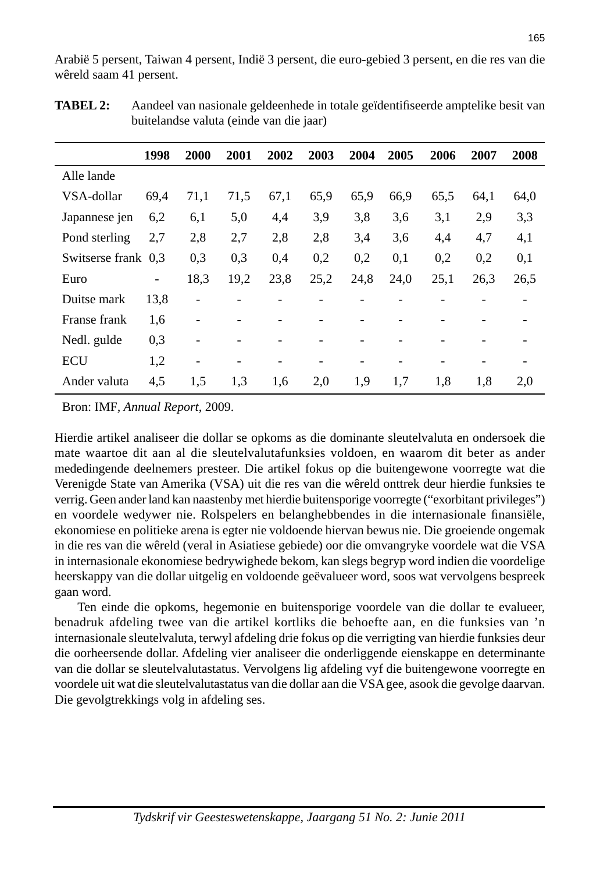Arabië 5 persent, Taiwan 4 persent, Indië 3 persent, die euro-gebied 3 persent, en die res van die wêreld saam 41 persent.

|                     | 1998                         | 2000              | 2001 | 2002 | 2003 | 2004 | 2005 | 2006 | 2007 | 2008 |
|---------------------|------------------------------|-------------------|------|------|------|------|------|------|------|------|
| Alle lande          |                              |                   |      |      |      |      |      |      |      |      |
| VSA-dollar          | 69.4                         | 71,1              | 71,5 | 67,1 | 65,9 | 65.9 | 66,9 | 65,5 | 64,1 | 64,0 |
| Japannese jen       | 6,2                          | 6,1               | 5,0  | 4,4  | 3,9  | 3,8  | 3,6  | 3,1  | 2,9  | 3,3  |
| Pond sterling       | 2,7                          | 2,8               | 2,7  | 2,8  | 2,8  | 3,4  | 3,6  | 4,4  | 4,7  | 4,1  |
| Switserse frank 0,3 |                              | 0,3               | 0,3  | 0,4  | 0,2  | 0,2  | 0,1  | 0,2  | 0,2  | 0,1  |
| Euro                | $\qquad \qquad \blacksquare$ | 18,3              | 19,2 | 23,8 | 25,2 | 24,8 | 24,0 | 25,1 | 26,3 | 26,5 |
| Duitse mark         | 13,8                         |                   |      |      |      |      |      |      |      |      |
| Franse frank        | 1,6                          | $\qquad \qquad -$ |      |      |      |      |      |      |      |      |
| Nedl. gulde         | 0,3                          |                   |      |      |      |      |      |      |      |      |
| <b>ECU</b>          | 1,2                          | $\qquad \qquad$   |      |      | -    |      |      |      |      |      |
| Ander valuta        | 4,5                          | 1.5               | 1,3  | 1,6  | 2,0  | 1,9  | 1,7  | 1,8  | 1,8  | 2,0  |

| <b>TABEL 2:</b> | Aandeel van nasionale geldeenhede in totale geïdentifiseerde amptelike besit van |
|-----------------|----------------------------------------------------------------------------------|
|                 | buitelandse valuta (einde van die jaar)                                          |

Bron: IMF*, Annual Report*, 2009.

Hierdie artikel analiseer die dollar se opkoms as die dominante sleutelvaluta en ondersoek die mate waartoe dit aan al die sleutelvalutafunksies voldoen, en waarom dit beter as ander mededingende deelnemers presteer. Die artikel fokus op die buitengewone voorregte wat die Verenigde State van Amerika (VSA) uit die res van die wêreld onttrek deur hierdie funksies te verrig. Geen ander land kan naastenby met hierdie buitensporige voorregte ("exorbitant privileges") en voordele wedywer nie. Rolspelers en belanghebbendes in die internasionale finansiële, ekonomiese en politieke arena is egter nie voldoende hiervan bewus nie. Die groeiende ongemak in die res van die wêreld (veral in Asiatiese gebiede) oor die omvangryke voordele wat die VSA in internasionale ekonomiese bedrywighede bekom, kan slegs begryp word indien die voordelige heerskappy van die dollar uitgelig en voldoende geëvalueer word, soos wat vervolgens bespreek gaan word.

 Ten einde die opkoms, hegemonie en buitensporige voordele van die dollar te evalueer, benadruk afdeling twee van die artikel kortliks die behoefte aan, en die funksies van 'n internasionale sleutelvaluta, terwyl afdeling drie fokus op die verrigting van hierdie funksies deur die oorheersende dollar. Afdeling vier analiseer die onderliggende eienskappe en determinante van die dollar se sleutelvalutastatus. Vervolgens lig afdeling vyf die buitengewone voorregte en voordele uit wat die sleutelvalutastatus van die dollar aan die VSA gee, asook die gevolge daarvan. Die gevolgtrekkings volg in afdeling ses.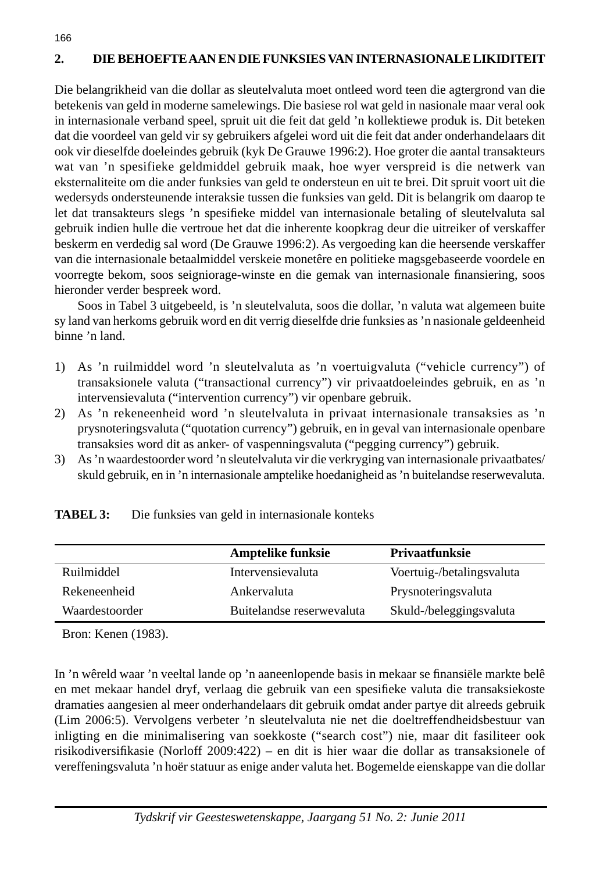## **2. DIE BEHOEFTE AAN EN DIE FUNKSIES VAN INTERNASIONALE LIKIDITEIT**

Die belangrikheid van die dollar as sleutelvaluta moet ontleed word teen die agtergrond van die betekenis van geld in moderne samelewings. Die basiese rol wat geld in nasionale maar veral ook in internasionale verband speel, spruit uit die feit dat geld 'n kollektiewe produk is. Dit beteken dat die voordeel van geld vir sy gebruikers afgelei word uit die feit dat ander onderhandelaars dit ook vir dieselfde doeleindes gebruik (kyk De Grauwe 1996:2). Hoe groter die aantal transakteurs wat van 'n spesifieke geldmiddel gebruik maak, hoe wyer verspreid is die netwerk van eksternaliteite om die ander funksies van geld te ondersteun en uit te brei. Dit spruit voort uit die wedersyds ondersteunende interaksie tussen die funksies van geld. Dit is belangrik om daarop te let dat transakteurs slegs 'n spesifieke middel van internasionale betaling of sleutelvaluta sal gebruik indien hulle die vertroue het dat die inherente koopkrag deur die uitreiker of verskaffer beskerm en verdedig sal word (De Grauwe 1996:2). As vergoeding kan die heersende verskaffer van die internasionale betaalmiddel verskeie monetêre en politieke magsgebaseerde voordele en voorregte bekom, soos seigniorage-winste en die gemak van internasionale finansiering, soos hieronder verder bespreek word.

 Soos in Tabel 3 uitgebeeld, is 'n sleutelvaluta, soos die dollar, 'n valuta wat algemeen buite sy land van herkoms gebruik word en dit verrig dieselfde drie funksies as 'n nasionale geldeenheid binne 'n land.

- 1) As 'n ruilmiddel word 'n sleutelvaluta as 'n voertuigvaluta ("vehicle currency") of transaksionele valuta ("transactional currency") vir privaatdoeleindes gebruik, en as 'n intervensievaluta ("intervention currency") vir openbare gebruik.
- 2) As 'n rekeneenheid word 'n sleutelvaluta in privaat internasionale transaksies as 'n prysnoteringsvaluta ("quotation currency") gebruik, en in geval van internasionale openbare transaksies word dit as anker- of vaspenningsvaluta ("pegging currency") gebruik.
- 3) As 'n waardestoorder word 'n sleutelvaluta vir die verkryging van internasionale privaatbates/ skuld gebruik, en in 'n internasionale amptelike hoedanigheid as 'n buitelandse reserwevaluta.

|                | Amptelike funksie         | <b>Privaatfunksie</b>     |
|----------------|---------------------------|---------------------------|
| Ruilmiddel     | Intervensievaluta         | Voertuig-/betalingsvaluta |
| Rekeneenheid   | Ankervaluta               | Prysnoteringsvaluta       |
| Waardestoorder | Buitelandse reserwevaluta | Skuld-/beleggingsvaluta   |

**TABEL 3:** Die funksies van geld in internasionale konteks

Bron: Kenen (1983).

166

In 'n wêreld waar 'n veeltal lande op 'n aaneenlopende basis in mekaar se finansiële markte belê en met mekaar handel dryf, verlaag die gebruik van een spesifieke valuta die transaksiekoste dramaties aangesien al meer onderhandelaars dit gebruik omdat ander partye dit alreeds gebruik (Lim 2006:5). Vervolgens verbeter 'n sleutelvaluta nie net die doeltreffendheidsbestuur van inligting en die minimalisering van soekkoste ("search cost") nie, maar dit fasiliteer ook risikodiversifikasie (Norloff 2009:422) – en dit is hier waar die dollar as transaksionele of vereffeningsvaluta 'n hoër statuur as enige ander valuta het. Bogemelde eienskappe van die dollar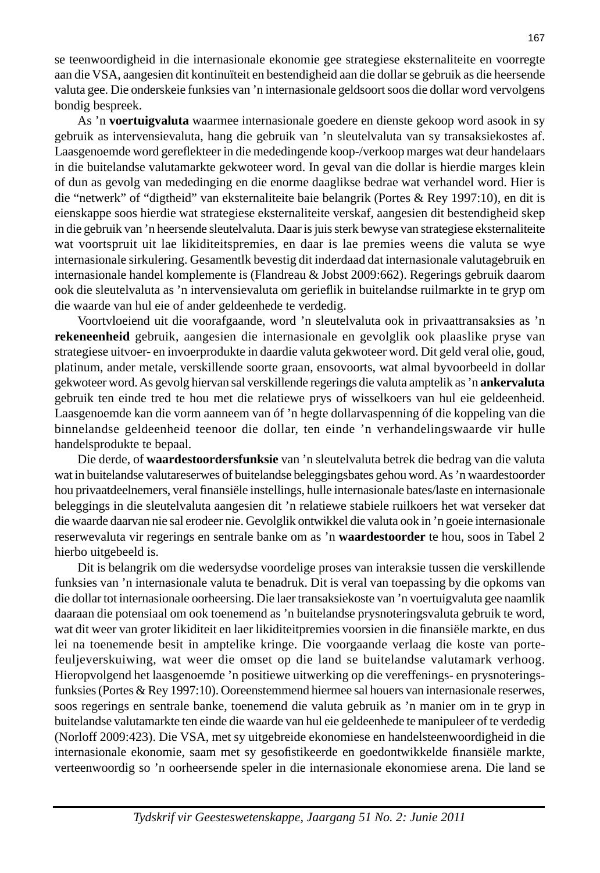se teenwoordigheid in die internasionale ekonomie gee strategiese eksternaliteite en voorregte aan die VSA, aangesien dit kontinuïteit en bestendigheid aan die dollar se gebruik as die heersende valuta gee. Die onderskeie funksies van 'n internasionale geldsoort soos die dollar word vervolgens bondig bespreek.

 As 'n **voertuigvaluta** waarmee internasionale goedere en dienste gekoop word asook in sy gebruik as intervensievaluta, hang die gebruik van 'n sleutelvaluta van sy transaksiekostes af. Laasgenoemde word gereflekteer in die mededingende koop-/verkoop marges wat deur handelaars in die buitelandse valutamarkte gekwoteer word. In geval van die dollar is hierdie marges klein of dun as gevolg van mededinging en die enorme daaglikse bedrae wat verhandel word. Hier is die "netwerk" of "digtheid" van eksternaliteite baie belangrik (Portes & Rey 1997:10), en dit is eienskappe soos hierdie wat strategiese eksternaliteite verskaf, aangesien dit bestendigheid skep in die gebruik van 'n heersende sleutelvaluta. Daar is juis sterk bewyse van strategiese eksternaliteite wat voortspruit uit lae likiditeitspremies, en daar is lae premies weens die valuta se wye internasionale sirkulering. Gesamentlk bevestig dit inderdaad dat internasionale valutagebruik en internasionale handel komplemente is (Flandreau & Jobst 2009:662). Regerings gebruik daarom ook die sleutelvaluta as 'n intervensievaluta om geriefl ik in buitelandse ruilmarkte in te gryp om die waarde van hul eie of ander geldeenhede te verdedig.

 Voortvloeiend uit die voorafgaande, word 'n sleutelvaluta ook in privaattransaksies as 'n **rekeneenheid** gebruik, aangesien die internasionale en gevolglik ook plaaslike pryse van strategiese uitvoer- en invoerprodukte in daardie valuta gekwoteer word. Dit geld veral olie, goud, platinum, ander metale, verskillende soorte graan, ensovoorts, wat almal byvoorbeeld in dollar gekwoteer word. As gevolg hiervan sal verskillende regerings die valuta amptelik as 'n **ankervaluta** gebruik ten einde tred te hou met die relatiewe prys of wisselkoers van hul eie geldeenheid. Laasgenoemde kan die vorm aanneem van óf 'n hegte dollarvaspenning óf die koppeling van die binnelandse geldeenheid teenoor die dollar, ten einde 'n verhandelingswaarde vir hulle handelsprodukte te bepaal.

 Die derde, of **waardestoordersfunksie** van 'n sleutelvaluta betrek die bedrag van die valuta wat in buitelandse valutareserwes of buitelandse beleggingsbates gehou word. As 'n waardestoorder hou privaatdeelnemers, veral finansiële instellings, hulle internasionale bates/laste en internasionale beleggings in die sleutelvaluta aangesien dit 'n relatiewe stabiele ruilkoers het wat verseker dat die waarde daarvan nie sal erodeer nie. Gevolglik ontwikkel die valuta ook in 'n goeie internasionale reserwevaluta vir regerings en sentrale banke om as 'n **waardestoorder** te hou, soos in Tabel 2 hierbo uitgebeeld is.

 Dit is belangrik om die wedersydse voordelige proses van interaksie tussen die verskillende funksies van 'n internasionale valuta te benadruk. Dit is veral van toepassing by die opkoms van die dollar tot internasionale oorheersing. Die laer transaksiekoste van 'n voertuigvaluta gee naamlik daaraan die potensiaal om ook toenemend as 'n buitelandse prysnoteringsvaluta gebruik te word, wat dit weer van groter likiditeit en laer likiditeitpremies voorsien in die finansiële markte, en dus lei na toenemende besit in amptelike kringe. Die voorgaande verlaag die koste van portefeuljeverskuiwing, wat weer die omset op die land se buitelandse valutamark verhoog. Hieropvolgend het laasgenoemde 'n positiewe uitwerking op die vereffenings- en prysnoteringsfunksies (Portes & Rey 1997:10). Ooreenstemmend hiermee sal houers van internasionale reserwes, soos regerings en sentrale banke, toenemend die valuta gebruik as 'n manier om in te gryp in buitelandse valutamarkte ten einde die waarde van hul eie geldeenhede te manipuleer of te verdedig (Norloff 2009:423). Die VSA, met sy uitgebreide ekonomiese en handelsteenwoordigheid in die internasionale ekonomie, saam met sy gesofistikeerde en goedontwikkelde finansiële markte, verteenwoordig so 'n oorheersende speler in die internasionale ekonomiese arena. Die land se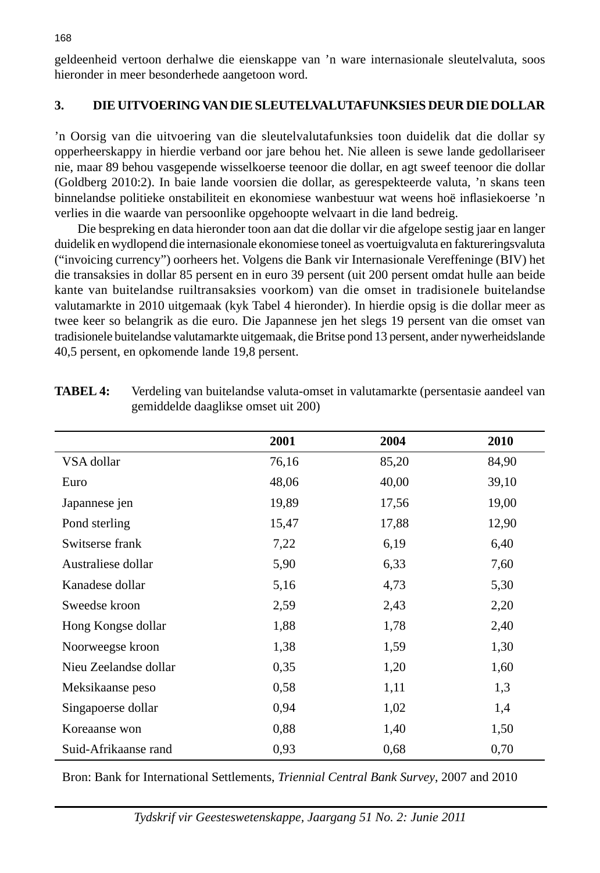geldeenheid vertoon derhalwe die eienskappe van 'n ware internasionale sleutelvaluta, soos hieronder in meer besonderhede aangetoon word.

### **3. DIE UITVOERING VAN DIE SLEUTELVALUTAFUNKSIES DEUR DIE DOLLAR**

'n Oorsig van die uitvoering van die sleutelvalutafunksies toon duidelik dat die dollar sy opperheerskappy in hierdie verband oor jare behou het. Nie alleen is sewe lande gedollariseer nie, maar 89 behou vasgepende wisselkoerse teenoor die dollar, en agt sweef teenoor die dollar (Goldberg 2010:2). In baie lande voorsien die dollar, as gerespekteerde valuta, 'n skans teen binnelandse politieke onstabiliteit en ekonomiese wanbestuur wat weens hoë inflasiekoerse 'n verlies in die waarde van persoonlike opgehoopte welvaart in die land bedreig.

 Die bespreking en data hieronder toon aan dat die dollar vir die afgelope sestig jaar en langer duidelik en wydlopend die internasionale ekonomiese toneel as voertuigvaluta en faktureringsvaluta ("invoicing currency") oorheers het. Volgens die Bank vir Internasionale Vereffeninge (BIV) het die transaksies in dollar 85 persent en in euro 39 persent (uit 200 persent omdat hulle aan beide kante van buitelandse ruiltransaksies voorkom) van die omset in tradisionele buitelandse valutamarkte in 2010 uitgemaak (kyk Tabel 4 hieronder). In hierdie opsig is die dollar meer as twee keer so belangrik as die euro. Die Japannese jen het slegs 19 persent van die omset van tradisionele buitelandse valutamarkte uitgemaak, die Britse pond 13 persent, ander nywerheidslande 40,5 persent, en opkomende lande 19,8 persent.

|                       | 2001  | 2004  | 2010  |
|-----------------------|-------|-------|-------|
| VSA dollar            | 76,16 | 85,20 | 84,90 |
| Euro                  | 48,06 | 40,00 | 39,10 |
| Japannese jen         | 19,89 | 17,56 | 19,00 |
| Pond sterling         | 15,47 | 17,88 | 12,90 |
| Switserse frank       | 7,22  | 6,19  | 6,40  |
| Australiese dollar    | 5,90  | 6,33  | 7,60  |
| Kanadese dollar       | 5,16  | 4,73  | 5,30  |
| Sweedse kroon         | 2,59  | 2,43  | 2,20  |
| Hong Kongse dollar    | 1,88  | 1,78  | 2,40  |
| Noorweegse kroon      | 1,38  | 1,59  | 1,30  |
| Nieu Zeelandse dollar | 0,35  | 1,20  | 1,60  |
| Meksikaanse peso      | 0,58  | 1,11  | 1,3   |
| Singapoerse dollar    | 0,94  | 1,02  | 1,4   |
| Koreaanse won         | 0,88  | 1,40  | 1,50  |
| Suid-Afrikaanse rand  | 0,93  | 0,68  | 0,70  |

| <b>TABEL 4:</b> | Verdeling van buitelandse valuta-omset in valutamarkte (persentasie aandeel van |
|-----------------|---------------------------------------------------------------------------------|
|                 | gemiddelde daaglikse omset uit 200)                                             |

Bron: Bank for International Settlements, *Triennial Central Bank Survey*, 2007 and 2010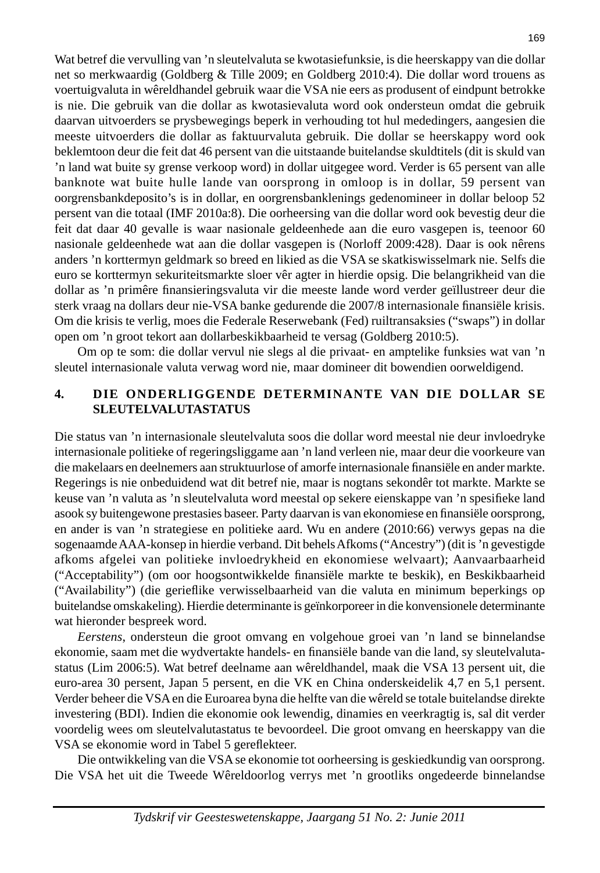Wat betref die vervulling van 'n sleutelvaluta se kwotasiefunksie, is die heerskappy van die dollar net so merkwaardig (Goldberg & Tille 2009; en Goldberg 2010:4). Die dollar word trouens as voertuigvaluta in wêreldhandel gebruik waar die VSA nie eers as produsent of eindpunt betrokke is nie. Die gebruik van die dollar as kwotasievaluta word ook ondersteun omdat die gebruik daarvan uitvoerders se prysbewegings beperk in verhouding tot hul mededingers, aangesien die meeste uitvoerders die dollar as faktuurvaluta gebruik. Die dollar se heerskappy word ook beklemtoon deur die feit dat 46 persent van die uitstaande buitelandse skuldtitels (dit is skuld van 'n land wat buite sy grense verkoop word) in dollar uitgegee word. Verder is 65 persent van alle banknote wat buite hulle lande van oorsprong in omloop is in dollar, 59 persent van oorgrensbankdeposito's is in dollar, en oorgrensbanklenings gedenomineer in dollar beloop 52 persent van die totaal (IMF 2010a:8). Die oorheersing van die dollar word ook bevestig deur die feit dat daar 40 gevalle is waar nasionale geldeenhede aan die euro vasgepen is, teenoor 60 nasionale geldeenhede wat aan die dollar vasgepen is (Norloff 2009:428). Daar is ook nêrens anders 'n korttermyn geldmark so breed en likied as die VSA se skatkiswisselmark nie. Selfs die euro se korttermyn sekuriteitsmarkte sloer vêr agter in hierdie opsig. Die belangrikheid van die dollar as 'n primêre finansieringsvaluta vir die meeste lande word verder geïllustreer deur die sterk vraag na dollars deur nie-VSA banke gedurende die 2007/8 internasionale finansiële krisis. Om die krisis te verlig, moes die Federale Reserwebank (Fed) ruiltransaksies ("swaps") in dollar open om 'n groot tekort aan dollarbeskikbaarheid te versag (Goldberg 2010:5).

 Om op te som: die dollar vervul nie slegs al die privaat- en amptelike funksies wat van 'n sleutel internasionale valuta verwag word nie, maar domineer dit bowendien oorweldigend.

#### **4. DIE ONDERLIGGENDE DETERMINANTE VAN DIE DOLLAR SE SLEUTELVALUTASTATUS**

Die status van 'n internasionale sleutelvaluta soos die dollar word meestal nie deur invloedryke internasionale politieke of regeringsliggame aan 'n land verleen nie, maar deur die voorkeure van die makelaars en deelnemers aan struktuurlose of amorfe internasionale finansiële en ander markte. Regerings is nie onbeduidend wat dit betref nie, maar is nogtans sekondêr tot markte. Markte se keuse van 'n valuta as 'n sleutelvaluta word meestal op sekere eienskappe van 'n spesifieke land asook sy buitengewone prestasies baseer. Party daarvan is van ekonomiese en finansiële oorsprong, en ander is van 'n strategiese en politieke aard. Wu en andere (2010:66) verwys gepas na die sogenaamde AAA-konsep in hierdie verband. Dit behels Afkoms ("Ancestry") (dit is 'n gevestigde afkoms afgelei van politieke invloedrykheid en ekonomiese welvaart); Aanvaarbaarheid ("Acceptability") (om oor hoogsontwikkelde finansiële markte te beskik), en Beskikbaarheid ("Availability") (die gerieflike verwisselbaarheid van die valuta en minimum beperkings op buitelandse omskakeling). Hierdie determinante is geïnkorporeer in die konvensionele determinante wat hieronder bespreek word.

 *Eerstens*, ondersteun die groot omvang en volgehoue groei van 'n land se binnelandse ekonomie, saam met die wydvertakte handels- en finansiële bande van die land, sy sleutelvalutastatus (Lim 2006:5). Wat betref deelname aan wêreldhandel, maak die VSA 13 persent uit, die euro-area 30 persent, Japan 5 persent, en die VK en China onderskeidelik 4,7 en 5,1 persent. Verder beheer die VSA en die Euroarea byna die helfte van die wêreld se totale buitelandse direkte investering (BDI). Indien die ekonomie ook lewendig, dinamies en veerkragtig is, sal dit verder voordelig wees om sleutelvalutastatus te bevoordeel. Die groot omvang en heerskappy van die VSA se ekonomie word in Tabel 5 gereflekteer.

 Die ontwikkeling van die VSA se ekonomie tot oorheersing is geskiedkundig van oorsprong. Die VSA het uit die Tweede Wêreldoorlog verrys met 'n grootliks ongedeerde binnelandse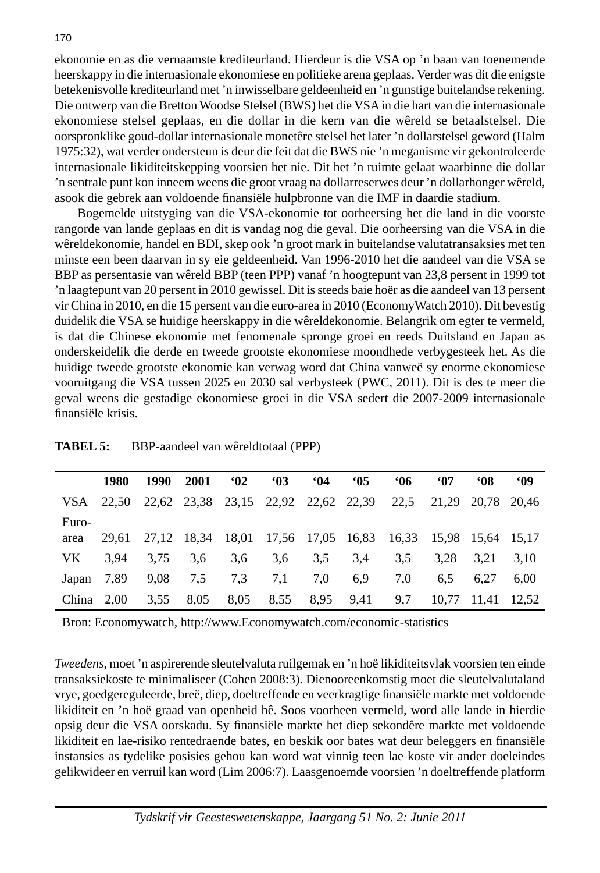ekonomie en as die vernaamste krediteurland. Hierdeur is die VSA op 'n baan van toenemende heerskappy in die internasionale ekonomiese en politieke arena geplaas. Verder was dit die enigste betekenisvolle krediteurland met 'n inwisselbare geldeenheid en 'n gunstige buitelandse rekening. Die ontwerp van die Bretton Woodse Stelsel (BWS) het die VSA in die hart van die internasionale ekonomiese stelsel geplaas, en die dollar in die kern van die wêreld se betaalstelsel. Die oorspronklike goud-dollar internasionale monetêre stelsel het later 'n dollarstelsel geword (Halm 1975:32), wat verder ondersteun is deur die feit dat die BWS nie 'n meganisme vir gekontroleerde internasionale likiditeitskepping voorsien het nie. Dit het 'n ruimte gelaat waarbinne die dollar 'n sentrale punt kon inneem weens die groot vraag na dollarreserwes deur 'n dollarhonger wêreld, asook die gebrek aan voldoende finansiële hulpbronne van die IMF in daardie stadium.

 Bogemelde uitstyging van die VSA-ekonomie tot oorheersing het die land in die voorste rangorde van lande geplaas en dit is vandag nog die geval. Die oorheersing van die VSA in die wêreldekonomie, handel en BDI, skep ook 'n groot mark in buitelandse valutatransaksies met ten minste een been daarvan in sy eie geldeenheid. Van 1996-2010 het die aandeel van die VSA se BBP as persentasie van wêreld BBP (teen PPP) vanaf 'n hoogtepunt van 23,8 persent in 1999 tot 'n laagtepunt van 20 persent in 2010 gewissel. Dit is steeds baie hoër as die aandeel van 13 persent vir China in 2010, en die 15 persent van die euro-area in 2010 (EconomyWatch 2010). Dit bevestig duidelik die VSA se huidige heerskappy in die wêreldekonomie. Belangrik om egter te vermeld, is dat die Chinese ekonomie met fenomenale spronge groei en reeds Duitsland en Japan as onderskeidelik die derde en tweede grootste ekonomiese moondhede verbygesteek het. As die huidige tweede grootste ekonomie kan verwag word dat China vanweë sy enorme ekonomiese vooruitgang die VSA tussen 2025 en 2030 sal verbysteek (PWC, 2011). Dit is des te meer die geval weens die gestadige ekonomiese groei in die VSA sedert die 2007-2009 internasionale finansiële krisis.

|              | 1980  | 1990 | 2001 | 62   | 63   | 64  | <b>'05</b>                               | <b>M6</b>                                                   | <b>MOT</b> | <b>68°</b>        | <b>MO</b> |
|--------------|-------|------|------|------|------|-----|------------------------------------------|-------------------------------------------------------------|------------|-------------------|-----------|
| VSA –        | 22.50 |      |      |      |      |     | 22,62 23,38 23,15 22,92 22,62 22,39 22,5 |                                                             |            | 21.29 20.78 20.46 |           |
| Euro-        |       |      |      |      |      |     |                                          |                                                             |            |                   |           |
| area         | 29.61 |      |      |      |      |     |                                          | 27,12 18,34 18,01 17,56 17,05 16,83 16,33 15,98 15,64 15,17 |            |                   |           |
| VK.          | 3.94  | 3.75 | 3.6  | 3.6  | 3,6  | 3.5 | 3.4                                      | $3.5^{\circ}$                                               | 3.28       | 3.21              | 3.10      |
| Japan $7,89$ |       | 9.08 | 7.5  | 7.3  | 7,1  | 7.0 | 6.9                                      | 7.0                                                         | 6.5        | 6.27              | 6.00      |
| China $2,00$ |       | 3.55 | 8,05 | 8,05 | 8,55 |     | 8,95 9,41                                | 9.7                                                         | 10.77      | 11.41             | 12.52     |

**TABEL 5:** BBP-aandeel van wêreldtotaal (PPP)

Bron: Economywatch, http://www.Economywatch.com/economic-statistics

*Tweedens*, moet 'n aspirerende sleutelvaluta ruilgemak en 'n hoë likiditeitsvlak voorsien ten einde transaksiekoste te minimaliseer (Cohen 2008:3). Dienooreenkomstig moet die sleutelvalutaland vrye, goedgereguleerde, breë, diep, doeltreffende en veerkragtige fi nansiële markte met voldoende likiditeit en 'n hoë graad van openheid hê. Soos voorheen vermeld, word alle lande in hierdie opsig deur die VSA oorskadu. Sy finansiële markte het diep sekondêre markte met voldoende likiditeit en lae-risiko rentedraende bates, en beskik oor bates wat deur beleggers en finansiële instansies as tydelike posisies gehou kan word wat vinnig teen lae koste vir ander doeleindes gelikwideer en verruil kan word (Lim 2006:7). Laasgenoemde voorsien 'n doeltreffende platform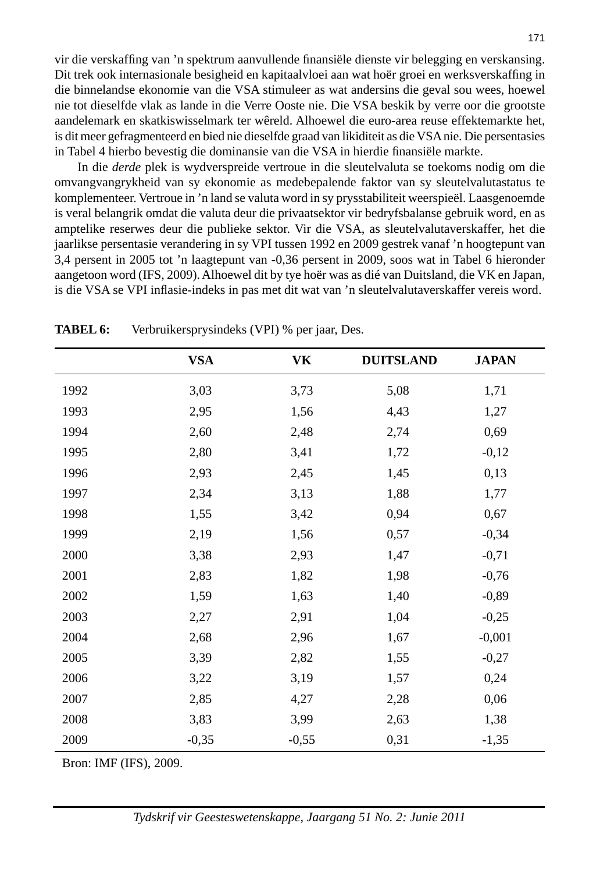vir die verskaffing van 'n spektrum aanvullende finansiële dienste vir belegging en verskansing. Dit trek ook internasionale besigheid en kapitaalvloei aan wat hoër groei en werksverskaffing in die binnelandse ekonomie van die VSA stimuleer as wat andersins die geval sou wees, hoewel nie tot dieselfde vlak as lande in die Verre Ooste nie. Die VSA beskik by verre oor die grootste aandelemark en skatkiswisselmark ter wêreld. Alhoewel die euro-area reuse effektemarkte het, is dit meer gefragmenteerd en bied nie dieselfde graad van likiditeit as die VSA nie. Die persentasies in Tabel 4 hierbo bevestig die dominansie van die VSA in hierdie finansiële markte.

 In die *derde* plek is wydverspreide vertroue in die sleutelvaluta se toekoms nodig om die omvangvangrykheid van sy ekonomie as medebepalende faktor van sy sleutelvalutastatus te komplementeer. Vertroue in 'n land se valuta word in sy prysstabiliteit weerspieël. Laasgenoemde is veral belangrik omdat die valuta deur die privaatsektor vir bedryfsbalanse gebruik word, en as amptelike reserwes deur die publieke sektor. Vir die VSA, as sleutelvalutaverskaffer, het die jaarlikse persentasie verandering in sy VPI tussen 1992 en 2009 gestrek vanaf 'n hoogtepunt van 3,4 persent in 2005 tot 'n laagtepunt van -0,36 persent in 2009, soos wat in Tabel 6 hieronder aangetoon word (IFS, 2009). Alhoewel dit by tye hoër was as dié van Duitsland, die VK en Japan, is die VSA se VPI inflasie-indeks in pas met dit wat van 'n sleutelvalutaverskaffer vereis word.

|      | <b>VSA</b> | <b>VK</b> | <b>DUITSLAND</b> | <b>JAPAN</b> |
|------|------------|-----------|------------------|--------------|
| 1992 | 3,03       | 3,73      | 5,08             | 1,71         |
| 1993 | 2,95       | 1,56      | 4,43             | 1,27         |
| 1994 | 2,60       | 2,48      | 2,74             | 0,69         |
| 1995 | 2,80       | 3,41      | 1,72             | $-0,12$      |
| 1996 | 2,93       | 2,45      | 1,45             | 0,13         |
| 1997 | 2,34       | 3,13      | 1,88             | 1,77         |
| 1998 | 1,55       | 3,42      | 0,94             | 0,67         |
| 1999 | 2,19       | 1,56      | 0,57             | $-0,34$      |
| 2000 | 3,38       | 2,93      | 1,47             | $-0,71$      |
| 2001 | 2,83       | 1,82      | 1,98             | $-0,76$      |
| 2002 | 1,59       | 1,63      | 1,40             | $-0,89$      |
| 2003 | 2,27       | 2,91      | 1,04             | $-0,25$      |
| 2004 | 2,68       | 2,96      | 1,67             | $-0,001$     |
| 2005 | 3,39       | 2,82      | 1,55             | $-0,27$      |
| 2006 | 3,22       | 3,19      | 1,57             | 0,24         |
| 2007 | 2,85       | 4,27      | 2,28             | 0,06         |
| 2008 | 3,83       | 3,99      | 2,63             | 1,38         |
| 2009 | $-0,35$    | $-0,55$   | 0,31             | $-1,35$      |

**TABEL 6:** Verbruikersprysindeks (VPI) % per jaar, Des.

Bron: IMF (IFS), 2009.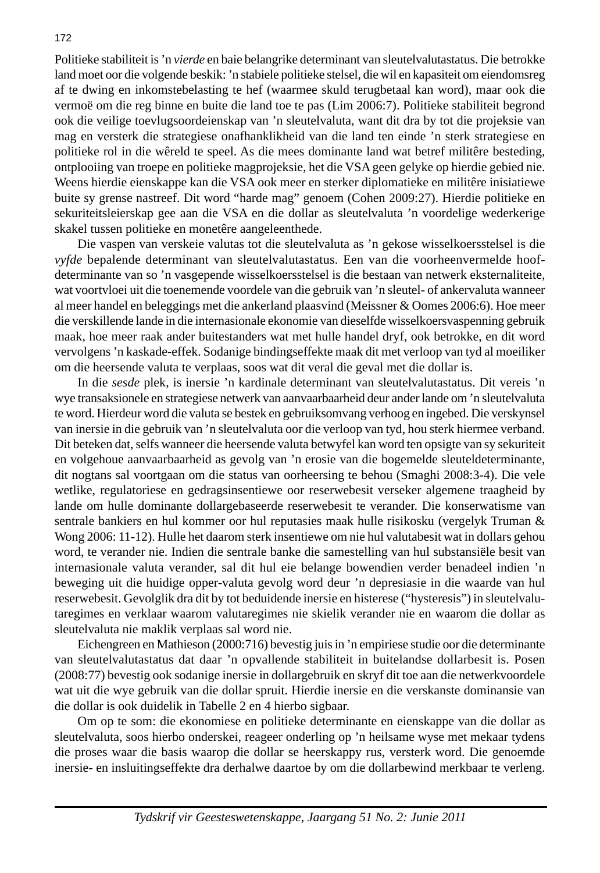Politieke stabiliteit is 'n *vierde* en baie belangrike determinant van sleutelvalutastatus. Die betrokke land moet oor die volgende beskik: 'n stabiele politieke stelsel, die wil en kapasiteit om eiendomsreg af te dwing en inkomstebelasting te hef (waarmee skuld terugbetaal kan word), maar ook die vermoë om die reg binne en buite die land toe te pas (Lim 2006:7). Politieke stabiliteit begrond ook die veilige toevlugsoordeienskap van 'n sleutelvaluta, want dit dra by tot die projeksie van mag en versterk die strategiese onafhanklikheid van die land ten einde 'n sterk strategiese en politieke rol in die wêreld te speel. As die mees dominante land wat betref militêre besteding, ontplooiing van troepe en politieke magprojeksie, het die VSA geen gelyke op hierdie gebied nie. Weens hierdie eienskappe kan die VSA ook meer en sterker diplomatieke en militêre inisiatiewe buite sy grense nastreef. Dit word "harde mag" genoem (Cohen 2009:27). Hierdie politieke en sekuriteitsleierskap gee aan die VSA en die dollar as sleutelvaluta 'n voordelige wederkerige skakel tussen politieke en monetêre aangeleenthede.

 Die vaspen van verskeie valutas tot die sleutelvaluta as 'n gekose wisselkoersstelsel is die *vyfde* bepalende determinant van sleutelvalutastatus. Een van die voorheenvermelde hoofdeterminante van so 'n vasgepende wisselkoersstelsel is die bestaan van netwerk eksternaliteite, wat voortvloei uit die toenemende voordele van die gebruik van 'n sleutel- of ankervaluta wanneer al meer handel en beleggings met die ankerland plaasvind (Meissner & Oomes 2006:6). Hoe meer die verskillende lande in die internasionale ekonomie van dieselfde wisselkoersvaspenning gebruik maak, hoe meer raak ander buitestanders wat met hulle handel dryf, ook betrokke, en dit word vervolgens 'n kaskade-effek. Sodanige bindingseffekte maak dit met verloop van tyd al moeiliker om die heersende valuta te verplaas, soos wat dit veral die geval met die dollar is.

 In die *sesde* plek, is inersie 'n kardinale determinant van sleutelvalutastatus. Dit vereis 'n wye transaksionele en strategiese netwerk van aanvaarbaarheid deur ander lande om 'n sleutelvaluta te word. Hierdeur word die valuta se bestek en gebruiksomvang verhoog en ingebed. Die verskynsel van inersie in die gebruik van 'n sleutelvaluta oor die verloop van tyd, hou sterk hiermee verband. Dit beteken dat, selfs wanneer die heersende valuta betwyfel kan word ten opsigte van sy sekuriteit en volgehoue aanvaarbaarheid as gevolg van 'n erosie van die bogemelde sleuteldeterminante, dit nogtans sal voortgaan om die status van oorheersing te behou (Smaghi 2008:3-4). Die vele wetlike, regulatoriese en gedragsinsentiewe oor reserwebesit verseker algemene traagheid by lande om hulle dominante dollargebaseerde reserwebesit te verander. Die konserwatisme van sentrale bankiers en hul kommer oor hul reputasies maak hulle risikosku (vergelyk Truman & Wong 2006: 11-12). Hulle het daarom sterk insentiewe om nie hul valutabesit wat in dollars gehou word, te verander nie. Indien die sentrale banke die samestelling van hul substansiële besit van internasionale valuta verander, sal dit hul eie belange bowendien verder benadeel indien 'n beweging uit die huidige opper-valuta gevolg word deur 'n depresiasie in die waarde van hul reserwebesit. Gevolglik dra dit by tot beduidende inersie en histerese ("hysteresis") in sleutelvalutaregimes en verklaar waarom valutaregimes nie skielik verander nie en waarom die dollar as sleutelvaluta nie maklik verplaas sal word nie.

 Eichengreen en Mathieson (2000:716) bevestig juis in 'n empiriese studie oor die determinante van sleutelvalutastatus dat daar 'n opvallende stabiliteit in buitelandse dollarbesit is. Posen (2008:77) bevestig ook sodanige inersie in dollargebruik en skryf dit toe aan die netwerkvoordele wat uit die wye gebruik van die dollar spruit. Hierdie inersie en die verskanste dominansie van die dollar is ook duidelik in Tabelle 2 en 4 hierbo sigbaar.

 Om op te som: die ekonomiese en politieke determinante en eienskappe van die dollar as sleutelvaluta, soos hierbo onderskei, reageer onderling op 'n heilsame wyse met mekaar tydens die proses waar die basis waarop die dollar se heerskappy rus, versterk word. Die genoemde inersie- en insluitingseffekte dra derhalwe daartoe by om die dollarbewind merkbaar te verleng.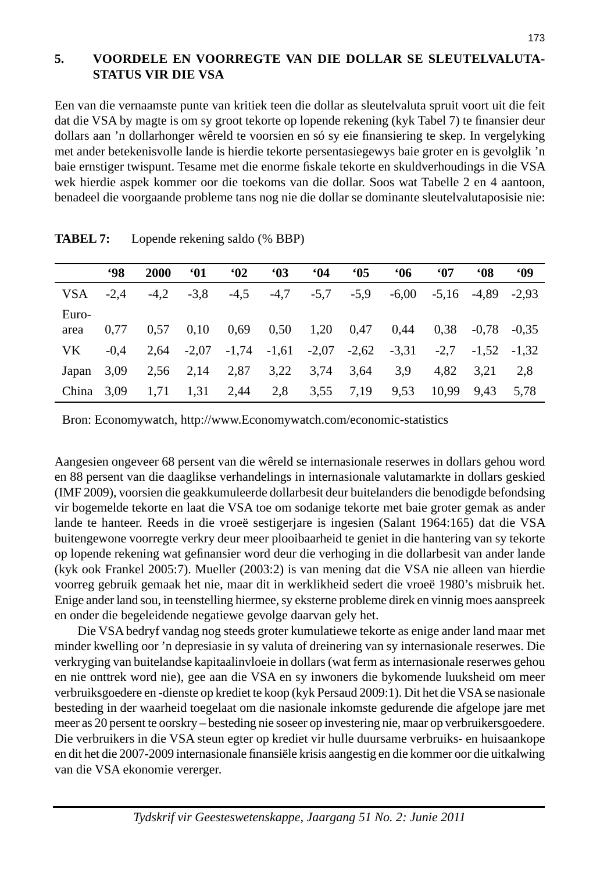## **5. VOORDELE EN VOORREGTE VAN DIE DOLLAR SE SLEUTELVALUTA - STATUS VIR DIE VSA**

Een van die vernaamste punte van kritiek teen die dollar as sleutelvaluta spruit voort uit die feit dat die VSA by magte is om sy groot tekorte op lopende rekening (kyk Tabel 7) te finansier deur dollars aan 'n dollarhonger wêreld te voorsien en só sy eie finansiering te skep. In vergelyking met ander betekenisvolle lande is hierdie tekorte persentasiegewys baie groter en is gevolglik 'n baie ernstiger twispunt. Tesame met die enorme fiskale tekorte en skuldverhoudings in die VSA wek hierdie aspek kommer oor die toekoms van die dollar. Soos wat Tabelle 2 en 4 aantoon, benadeel die voorgaande probleme tans nog nie die dollar se dominante sleutelvalutaposisie nie:

|       | <b>98</b> | 2000   | <b>M</b> | $^{\circ}$ 02 | <b>'03</b> | <b>M</b> | <b>'05</b> | <b>M6</b> | <b>M</b> | <b>MOS</b>      | <b>MO</b> |
|-------|-----------|--------|----------|---------------|------------|----------|------------|-----------|----------|-----------------|-----------|
| VSA   | $-2.4$    | $-4.2$ | $-3.8$   | $-4,5$        | $-4,7$     | $-5.7$   | $-5.9$     | $-6.00$   |          | $-5.16$ $-4.89$ | $-2.93$   |
| Euro- |           |        |          |               |            |          |            |           |          |                 |           |
| area  | 0.77      | 0.57   | 0.10     | 0.69          | 0,50       | 1,20     | 0.47       | 0.44      | 0.38     | $-0.78$         | $-0.35$   |
| VK    | $-0.4$    | 2.64   | $-2.07$  | $-1.74$       | $-1,61$    | $-2,07$  | $-2,62$    | $-3,31$   | $-2.7$   | $-1.52$         | $-1.32$   |
| Japan | 3,09      | 2.56   | 2,14     | 2,87          | 3,22       | 3,74     | 3,64       | 3.9       | 4.82     | 3.21            | 2.8       |
| China | 3,09      | 1,71   | 1,31     | 2,44          | 2.8        | 3.55     | 7.19       | 9.53      | 10.99    | 9.43            | 5.78      |

**TABEL 7:** Lopende rekening saldo (% BBP)

Bron: Economywatch, http://www.Economywatch.com/economic-statistics

Aangesien ongeveer 68 persent van die wêreld se internasionale reserwes in dollars gehou word en 88 persent van die daaglikse verhandelings in internasionale valutamarkte in dollars geskied (IMF 2009), voorsien die geakkumuleerde dollarbesit deur buitelanders die benodigde befondsing vir bogemelde tekorte en laat die VSA toe om sodanige tekorte met baie groter gemak as ander lande te hanteer. Reeds in die vroeë sestigerjare is ingesien (Salant 1964:165) dat die VSA buitengewone voorregte verkry deur meer plooibaarheid te geniet in die hantering van sy tekorte op lopende rekening wat gefinansier word deur die verhoging in die dollarbesit van ander lande (kyk ook Frankel 2005:7). Mueller (2003:2) is van mening dat die VSA nie alleen van hierdie voorreg gebruik gemaak het nie, maar dit in werklikheid sedert die vroeë 1980's misbruik het. Enige ander land sou, in teenstelling hiermee, sy eksterne probleme direk en vinnig moes aanspreek en onder die begeleidende negatiewe gevolge daarvan gely het.

 Die VSA bedryf vandag nog steeds groter kumulatiewe tekorte as enige ander land maar met minder kwelling oor 'n depresiasie in sy valuta of dreinering van sy internasionale reserwes. Die verkryging van buitelandse kapitaalinvloeie in dollars (wat ferm as internasionale reserwes gehou en nie onttrek word nie), gee aan die VSA en sy inwoners die bykomende luuksheid om meer verbruiksgoedere en -dienste op krediet te koop (kyk Persaud 2009:1). Dit het die VSA se nasionale besteding in der waarheid toegelaat om die nasionale inkomste gedurende die afgelope jare met meer as 20 persent te oorskry – besteding nie soseer op investering nie, maar op verbruikersgoedere. Die verbruikers in die VSA steun egter op krediet vir hulle duursame verbruiks- en huisaankope en dit het die 2007-2009 internasionale finansiële krisis aangestig en die kommer oor die uitkalwing van die VSA ekonomie vererger.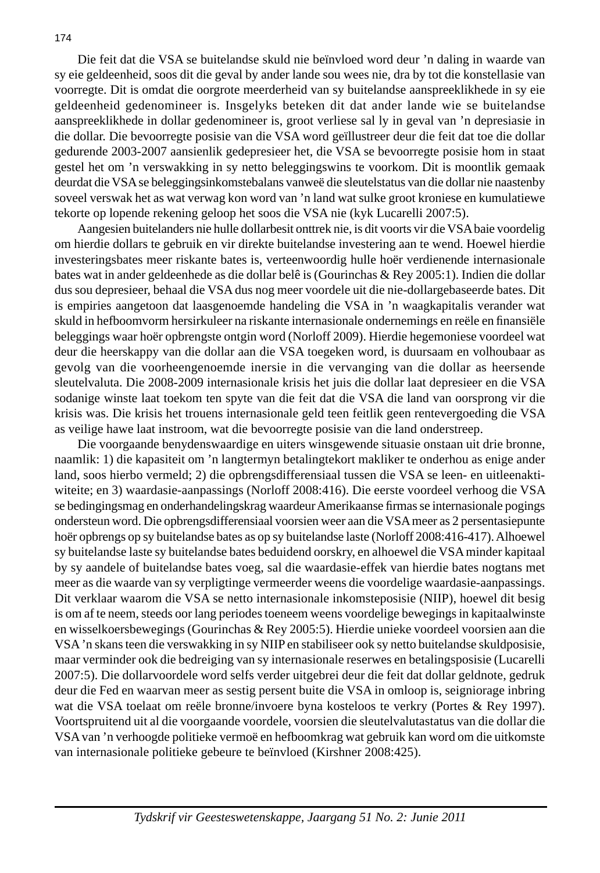Die feit dat die VSA se buitelandse skuld nie beïnvloed word deur 'n daling in waarde van sy eie geldeenheid, soos dit die geval by ander lande sou wees nie, dra by tot die konstellasie van voorregte. Dit is omdat die oorgrote meerderheid van sy buitelandse aanspreeklikhede in sy eie geldeenheid gedenomineer is. Insgelyks beteken dit dat ander lande wie se buitelandse aanspreeklikhede in dollar gedenomineer is, groot verliese sal ly in geval van 'n depresiasie in die dollar. Die bevoorregte posisie van die VSA word geïllustreer deur die feit dat toe die dollar gedurende 2003-2007 aansienlik gedepresieer het, die VSA se bevoorregte posisie hom in staat gestel het om 'n verswakking in sy netto beleggingswins te voorkom. Dit is moontlik gemaak deurdat die VSA se beleggingsinkomstebalans vanweë die sleutelstatus van die dollar nie naastenby soveel verswak het as wat verwag kon word van 'n land wat sulke groot kroniese en kumulatiewe tekorte op lopende rekening geloop het soos die VSA nie (kyk Lucarelli 2007:5).

 Aangesien buitelanders nie hulle dollarbesit onttrek nie, is dit voorts vir die VSA baie voordelig om hierdie dollars te gebruik en vir direkte buitelandse investering aan te wend. Hoewel hierdie investeringsbates meer riskante bates is, verteenwoordig hulle hoër verdienende internasionale bates wat in ander geldeenhede as die dollar belê is (Gourinchas & Rey 2005:1). Indien die dollar dus sou depresieer, behaal die VSA dus nog meer voordele uit die nie-dollargebaseerde bates. Dit is empiries aangetoon dat laasgenoemde handeling die VSA in 'n waagkapitalis verander wat skuld in hefboomvorm hersirkuleer na riskante internasionale ondernemings en reële en finansiële beleggings waar hoër opbrengste ontgin word (Norloff 2009). Hierdie hegemoniese voordeel wat deur die heerskappy van die dollar aan die VSA toegeken word, is duursaam en volhoubaar as gevolg van die voorheengenoemde inersie in die vervanging van die dollar as heersende sleutelvaluta. Die 2008-2009 internasionale krisis het juis die dollar laat depresieer en die VSA sodanige winste laat toekom ten spyte van die feit dat die VSA die land van oorsprong vir die krisis was. Die krisis het trouens internasionale geld teen feitlik geen rentevergoeding die VSA as veilige hawe laat instroom, wat die bevoorregte posisie van die land onderstreep.

 Die voorgaande benydenswaardige en uiters winsgewende situasie onstaan uit drie bronne, naamlik: 1) die kapasiteit om 'n langtermyn betalingtekort makliker te onderhou as enige ander land, soos hierbo vermeld; 2) die opbrengsdifferensiaal tussen die VSA se leen- en uitleenaktiwiteite; en 3) waardasie-aanpassings (Norloff 2008:416). Die eerste voordeel verhoog die VSA se bedingingsmag en onderhandelingskrag waardeur Amerikaanse firmas se internasionale pogings ondersteun word. Die opbrengsdifferensiaal voorsien weer aan die VSA meer as 2 persentasiepunte hoër opbrengs op sy buitelandse bates as op sy buitelandse laste (Norloff 2008:416-417). Alhoewel sy buitelandse laste sy buitelandse bates beduidend oorskry, en alhoewel die VSA minder kapitaal by sy aandele of buitelandse bates voeg, sal die waardasie-effek van hierdie bates nogtans met meer as die waarde van sy verpligtinge vermeerder weens die voordelige waardasie-aanpassings. Dit verklaar waarom die VSA se netto internasionale inkomsteposisie (NIIP), hoewel dit besig is om af te neem, steeds oor lang periodes toeneem weens voordelige bewegings in kapitaalwinste en wisselkoersbewegings (Gourinchas & Rey 2005:5). Hierdie unieke voordeel voorsien aan die VSA 'n skans teen die verswakking in sy NIIP en stabiliseer ook sy netto buitelandse skuldposisie, maar verminder ook die bedreiging van sy internasionale reserwes en betalingsposisie (Lucarelli 2007:5). Die dollarvoordele word selfs verder uitgebrei deur die feit dat dollar geldnote, gedruk deur die Fed en waarvan meer as sestig persent buite die VSA in omloop is, seigniorage inbring wat die VSA toelaat om reële bronne/invoere byna kosteloos te verkry (Portes & Rey 1997). Voortspruitend uit al die voorgaande voordele, voorsien die sleutelvalutastatus van die dollar die VSA van 'n verhoogde politieke vermoë en hefboomkrag wat gebruik kan word om die uitkomste van internasionale politieke gebeure te beïnvloed (Kirshner 2008:425).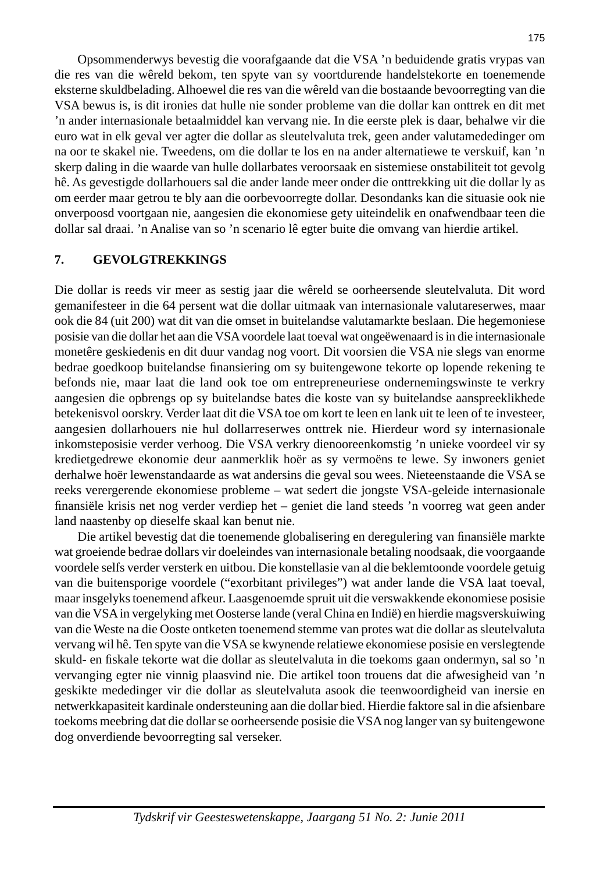Opsommenderwys bevestig die voorafgaande dat die VSA 'n beduidende gratis vrypas van die res van die wêreld bekom, ten spyte van sy voortdurende handelstekorte en toenemende eksterne skuldbelading. Alhoewel die res van die wêreld van die bostaande bevoorregting van die VSA bewus is, is dit ironies dat hulle nie sonder probleme van die dollar kan onttrek en dit met 'n ander internasionale betaalmiddel kan vervang nie. In die eerste plek is daar, behalwe vir die euro wat in elk geval ver agter die dollar as sleutelvaluta trek, geen ander valutamededinger om na oor te skakel nie. Tweedens, om die dollar te los en na ander alternatiewe te verskuif, kan 'n skerp daling in die waarde van hulle dollarbates veroorsaak en sistemiese onstabiliteit tot gevolg hê. As gevestigde dollarhouers sal die ander lande meer onder die onttrekking uit die dollar ly as om eerder maar getrou te bly aan die oorbevoorregte dollar. Desondanks kan die situasie ook nie onverpoosd voortgaan nie, aangesien die ekonomiese gety uiteindelik en onafwendbaar teen die dollar sal draai. 'n Analise van so 'n scenario lê egter buite die omvang van hierdie artikel.

## **7. GEVOLGTREKKINGS**

Die dollar is reeds vir meer as sestig jaar die wêreld se oorheersende sleutelvaluta. Dit word gemanifesteer in die 64 persent wat die dollar uitmaak van internasionale valutareserwes, maar ook die 84 (uit 200) wat dit van die omset in buitelandse valutamarkte beslaan. Die hegemoniese posisie van die dollar het aan die VSA voordele laat toeval wat ongeëwenaard is in die internasionale monetêre geskiedenis en dit duur vandag nog voort. Dit voorsien die VSA nie slegs van enorme bedrae goedkoop buitelandse finansiering om sy buitengewone tekorte op lopende rekening te befonds nie, maar laat die land ook toe om entrepreneuriese ondernemingswinste te verkry aangesien die opbrengs op sy buitelandse bates die koste van sy buitelandse aanspreeklikhede betekenisvol oorskry. Verder laat dit die VSA toe om kort te leen en lank uit te leen of te investeer, aangesien dollarhouers nie hul dollarreserwes onttrek nie. Hierdeur word sy internasionale inkomsteposisie verder verhoog. Die VSA verkry dienooreenkomstig 'n unieke voordeel vir sy kredietgedrewe ekonomie deur aanmerklik hoër as sy vermoëns te lewe. Sy inwoners geniet derhalwe hoër lewenstandaarde as wat andersins die geval sou wees. Nieteenstaande die VSA se reeks verergerende ekonomiese probleme – wat sedert die jongste VSA-geleide internasionale finansiële krisis net nog verder verdiep het – geniet die land steeds 'n voorreg wat geen ander land naastenby op dieselfe skaal kan benut nie.

Die artikel bevestig dat die toenemende globalisering en deregulering van finansiële markte wat groeiende bedrae dollars vir doeleindes van internasionale betaling noodsaak, die voorgaande voordele selfs verder versterk en uitbou. Die konstellasie van al die beklemtoonde voordele getuig van die buitensporige voordele ("exorbitant privileges") wat ander lande die VSA laat toeval, maar insgelyks toenemend afkeur. Laasgenoemde spruit uit die verswakkende ekonomiese posisie van die VSA in vergelyking met Oosterse lande (veral China en Indië) en hierdie magsverskuiwing van die Weste na die Ooste ontketen toenemend stemme van protes wat die dollar as sleutelvaluta vervang wil hê. Ten spyte van die VSA se kwynende relatiewe ekonomiese posisie en verslegtende skuld- en fiskale tekorte wat die dollar as sleutelvaluta in die toekoms gaan ondermyn, sal so 'n vervanging egter nie vinnig plaasvind nie. Die artikel toon trouens dat die afwesigheid van 'n geskikte mededinger vir die dollar as sleutelvaluta asook die teenwoordigheid van inersie en netwerkkapasiteit kardinale ondersteuning aan die dollar bied. Hierdie faktore sal in die afsienbare toekoms meebring dat die dollar se oorheersende posisie die VSA nog langer van sy buitengewone dog onverdiende bevoorregting sal verseker.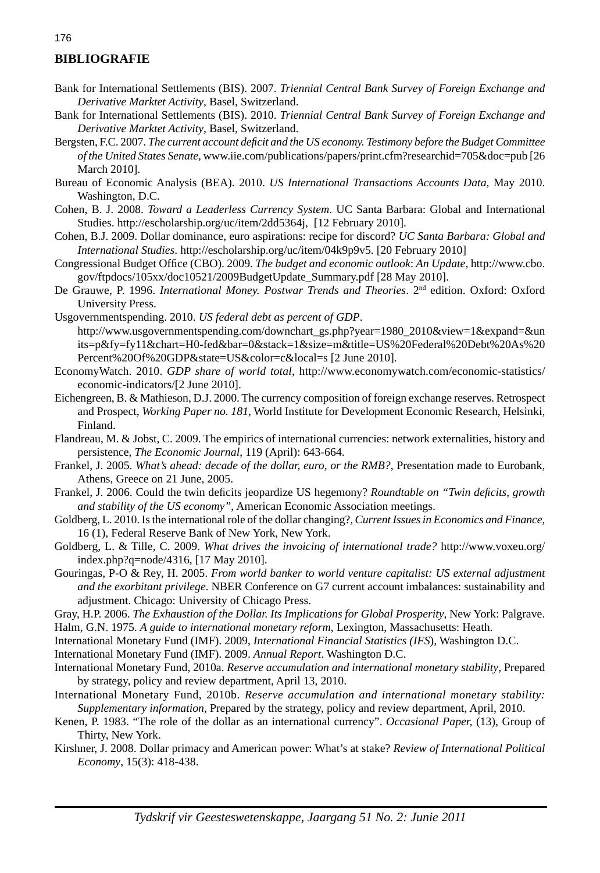#### **BIBLIOGRAFIE**

- Bank for International Settlements (BIS). 2007. *Triennial Central Bank Survey of Foreign Exchange and Derivative Marktet Activity*, Basel, Switzerland.
- Bank for International Settlements (BIS). 2010. *Triennial Central Bank Survey of Foreign Exchange and Derivative Marktet Activity*, Basel, Switzerland.
- Bergsten, F.C. 2007. *The current account defi cit and the US economy. Testimony before the Budget Committee of the United States Senate*, www.iie.com/publications/papers/print.cfm?researchid=705&doc=pub [26 March 2010].
- Bureau of Economic Analysis (BEA). 2010. *US International Transactions Accounts Data*, May 2010. Washington, D.C.
- Cohen, B. J. 2008. *Toward a Leaderless Currency System*. UC Santa Barbara: Global and International Studies. http://escholarship.org/uc/item/2dd5364j, [12 February 2010].
- Cohen, B.J. 2009. Dollar dominance, euro aspirations: recipe for discord? *UC Santa Barbara: Global and International Studies*. http://escholarship.org/uc/item/04k9p9v5. [20 February 2010]
- Congressional Budget Office (CBO). 2009. *The budget and economic outlook: An Update*, http://www.cbo. gov/ftpdocs/105xx/doc10521/2009BudgetUpdate\_Summary.pdf [28 May 2010].
- De Grauwe, P. 1996. *International Money. Postwar Trends and Theories*. 2nd edition. Oxford: Oxford University Press.
- Usgovernmentspending. 2010. *US federal debt as percent of GDP*. http://www.usgovernmentspending.com/downchart\_gs.php?year=1980\_2010&view=1&expand=&un its=p&fy=fy11&chart=H0-fed&bar=0&stack=1&size=m&title=US%20Federal%20Debt%20As%20 Percent%20Of%20GDP&state=US&color=c&local=s [2 June 2010].
- EconomyWatch. 2010. *GDP share of world total*, http://www.economywatch.com/economic-statistics/ economic-indicators/[2 June 2010].
- Eichengreen, B. & Mathieson, D.J. 2000. The currency composition of foreign exchange reserves. Retrospect and Prospect, *Working Paper no. 181*, World Institute for Development Economic Research, Helsinki, Finland.
- Flandreau, M. & Jobst, C. 2009. The empirics of international currencies: network externalities, history and persistence, *The Economic Journal*, 119 (April): 643-664.
- Frankel, J. 2005. *What's ahead: decade of the dollar, euro, or the RMB?*, Presentation made to Eurobank, Athens, Greece on 21 June, 2005.
- Frankel, J. 2006. Could the twin deficits jeopardize US hegemony? *Roundtable on "Twin deficits, growth and stability of the US economy"*, American Economic Association meetings.
- Goldberg, L. 2010. Is the international role of the dollar changing?, *Current Issues in Economics and Finance*, 16 (1), Federal Reserve Bank of New York, New York.
- Goldberg, L. & Tille, C. 2009. *What drives the invoicing of international trade?* http://www.voxeu.org/ index.php?q=node/4316, [17 May 2010].
- Gouringas, P-O & Rey, H. 2005. *From world banker to world venture capitalist: US external adjustment and the exorbitant privilege*. NBER Conference on G7 current account imbalances: sustainability and adjustment. Chicago: University of Chicago Press.
- Gray, H.P. 2006. *The Exhaustion of the Dollar. Its Implications for Global Prosperity*, New York: Palgrave. Halm, G.N. 1975. *A guide to international monetary reform*, Lexington, Massachusetts: Heath.
- International Monetary Fund (IMF). 2009, *International Financial Statistics (IFS*), Washington D.C.
- International Monetary Fund (IMF). 2009. *Annual Report*. Washington D.C.
- International Monetary Fund, 2010a. *Reserve accumulation and international monetary stability*, Prepared by strategy, policy and review department, April 13, 2010.
- International Monetary Fund, 2010b. *Reserve accumulation and international monetary stability: Supplementary information,* Prepared by the strategy, policy and review department, April, 2010.
- Kenen, P. 1983. "The role of the dollar as an international currency". *Occasional Paper,* (13), Group of Thirty, New York.
- Kirshner, J. 2008. Dollar primacy and American power: What's at stake? *Review of International Political Economy*, 15(3): 418-438.